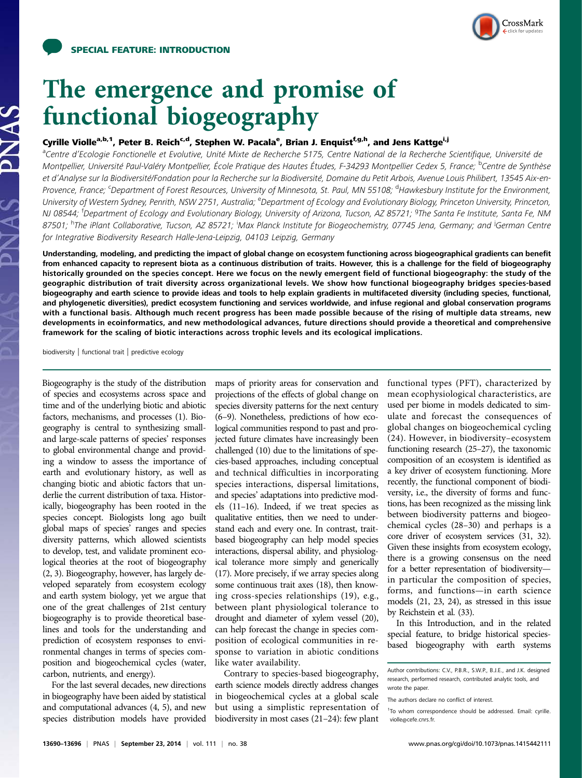

# The emergence and promise of functional biogeography

## Cyrille Violle<sup>a,b,1</sup>, Peter B. Reich<sup>c,d</sup>, Stephen W. Pacala<sup>e</sup>, Brian J. Enquist<sup>f,g,h</sup>, and Jens Kattge<sup>i,j</sup>

acentre d'Ecologie Fonctionelle et Evolutive, Unité Mixte de Recherche 5175, Centre National de la Recherche Scientifique, Université de Montpellier, Université Paul-Valéry Montpellier, École Pratique des Hautes Études, F-34293 Montpellier Cedex 5, France; <sup>b</sup>Centre de Synthèse et d'Analyse sur la Biodiversité/Fondation pour la Recherche sur la Biodiversité, Domaine du Petit Arbois, Avenue Louis Philibert, 13545 Aix-en-Provence, France; <sup>c</sup>Department of Forest Resources, University of Minnesota, St. Paul, MN 55108; <sup>d</sup>Hawkesbury Institute for the Environment, University of Western Sydney, Penrith, NSW 2751, Australia; <sup>e</sup>Department of Ecology and Evolutionary Biology, Princeton University, Princeton, NJ 08544; <sup>f</sup>Department of Ecology and Evolutionary Biology, University of Arizona, Tucson, AZ 85721; <sup>9</sup>The Santa Fe Institute, Santa Fe, NM 87501; <sup>h</sup>The iPlant Collaborative, Tucson, AZ 85721; <sup>i</sup>Max Planck Institute for Biogeochemistry, 07745 Jena, Germany; and <sup>i</sup>German Centre for Integrative Biodiversity Research Halle-Jena-Leipzig, 04103 Leipzig, Germany

Understanding, modeling, and predicting the impact of global change on ecosystem functioning across biogeographical gradients can benefit from enhanced capacity to represent biota as a continuous distribution of traits. However, this is a challenge for the field of biogeography historically grounded on the species concept. Here we focus on the newly emergent field of functional biogeography: the study of the geographic distribution of trait diversity across organizational levels. We show how functional biogeography bridges species-based biogeography and earth science to provide ideas and tools to help explain gradients in multifaceted diversity (including species, functional, and phylogenetic diversities), predict ecosystem functioning and services worldwide, and infuse regional and global conservation programs with a functional basis. Although much recent progress has been made possible because of the rising of multiple data streams, new developments in ecoinformatics, and new methodological advances, future directions should provide a theoretical and comprehensive framework for the scaling of biotic interactions across trophic levels and its ecological implications.

biodiversity | functional trait | predictive ecology

S<br>A

Biogeography is the study of the distribution of species and ecosystems across space and time and of the underlying biotic and abiotic factors, mechanisms, and processes (1). Biogeography is central to synthesizing smalland large-scale patterns of species' responses to global environmental change and providing a window to assess the importance of earth and evolutionary history, as well as changing biotic and abiotic factors that underlie the current distribution of taxa. Historically, biogeography has been rooted in the species concept. Biologists long ago built global maps of species' ranges and species diversity patterns, which allowed scientists to develop, test, and validate prominent ecological theories at the root of biogeography (2, 3). Biogeography, however, has largely developed separately from ecosystem ecology and earth system biology, yet we argue that one of the great challenges of 21st century biogeography is to provide theoretical baselines and tools for the understanding and prediction of ecosystem responses to environmental changes in terms of species composition and biogeochemical cycles (water, carbon, nutrients, and energy).

For the last several decades, new directions in biogeography have been aided by statistical and computational advances (4, 5), and new species distribution models have provided

maps of priority areas for conservation and projections of the effects of global change on species diversity patterns for the next century (6–9). Nonetheless, predictions of how ecological communities respond to past and projected future climates have increasingly been challenged (10) due to the limitations of species-based approaches, including conceptual and technical difficulties in incorporating species interactions, dispersal limitations, and species' adaptations into predictive models (11–16). Indeed, if we treat species as qualitative entities, then we need to understand each and every one. In contrast, traitbased biogeography can help model species interactions, dispersal ability, and physiological tolerance more simply and generically (17). More precisely, if we array species along some continuous trait axes (18), then knowing cross-species relationships (19), e.g., between plant physiological tolerance to drought and diameter of xylem vessel (20), can help forecast the change in species composition of ecological communities in response to variation in abiotic conditions like water availability.

Contrary to species-based biogeography, earth science models directly address changes in biogeochemical cycles at a global scale but using a simplistic representation of biodiversity in most cases (21–24): few plant functional types (PFT), characterized by mean ecophysiological characteristics, are used per biome in models dedicated to simulate and forecast the consequences of global changes on biogeochemical cycling (24). However, in biodiversity–ecosystem functioning research (25–27), the taxonomic composition of an ecosystem is identified as a key driver of ecosystem functioning. More recently, the functional component of biodiversity, i.e., the diversity of forms and functions, has been recognized as the missing link between biodiversity patterns and biogeochemical cycles (28–30) and perhaps is a core driver of ecosystem services (31, 32). Given these insights from ecosystem ecology, there is a growing consensus on the need for a better representation of biodiversity in particular the composition of species, forms, and functions—in earth science models (21, 23, 24), as stressed in this issue by Reichstein et al. (33).

In this Introduction, and in the related special feature, to bridge historical speciesbased biogeography with earth systems

Author contributions: C.V., P.B.R., S.W.P., B.J.E., and J.K. designed research, performed research, contributed analytic tools, and wrote the paper.

The authors declare no conflict of interest.

<sup>&</sup>lt;sup>1</sup>To whom correspondence should be addressed. Email: [cyrille.](mailto:cyrille.violle@cefe.cnrs.fr) [violle@cefe.cnrs.fr](mailto:cyrille.violle@cefe.cnrs.fr).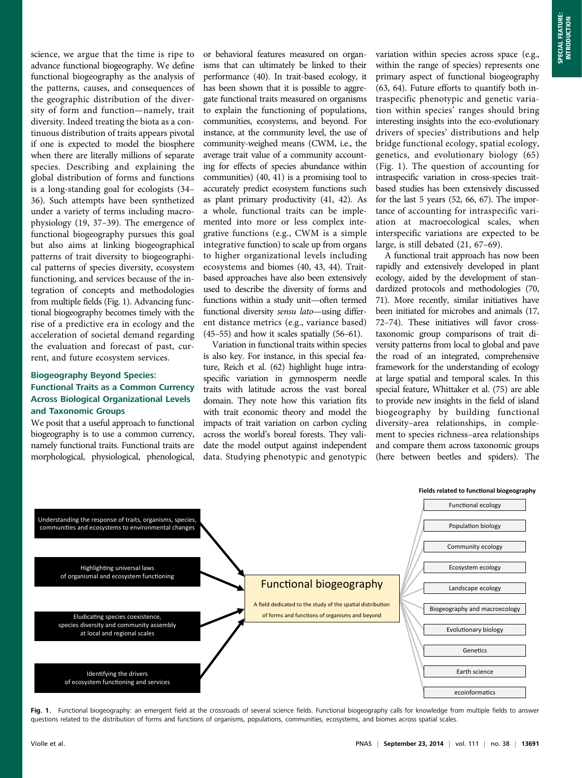science, we argue that the time is ripe to advance functional biogeography. We define functional biogeography as the analysis of the patterns, causes, and consequences of the geographic distribution of the diversity of form and function—namely, trait diversity. Indeed treating the biota as a continuous distribution of traits appears pivotal if one is expected to model the biosphere when there are literally millions of separate species. Describing and explaining the global distribution of forms and functions is a long-standing goal for ecologists (34– 36). Such attempts have been synthetized under a variety of terms including macrophysiology (19, 37–39). The emergence of functional biogeography pursues this goal but also aims at linking biogeographical patterns of trait diversity to biogeographical patterns of species diversity, ecosystem functioning, and services because of the integration of concepts and methodologies from multiple fields (Fig. 1). Advancing functional biogeography becomes timely with the rise of a predictive era in ecology and the acceleration of societal demand regarding the evaluation and forecast of past, current, and future ecosystem services.

## Biogeography Beyond Species: Functional Traits as a Common Currency Across Biological Organizational Levels and Taxonomic Groups

We posit that a useful approach to functional biogeography is to use a common currency, namely functional traits. Functional traits are morphological, physiological, phenological,

or behavioral features measured on organisms that can ultimately be linked to their performance (40). In trait-based ecology, it has been shown that it is possible to aggregate functional traits measured on organisms to explain the functioning of populations, communities, ecosystems, and beyond. For instance, at the community level, the use of community-weighed means (CWM, i.e., the average trait value of a community accounting for effects of species abundance within communities) (40, 41) is a promising tool to accurately predict ecosystem functions such as plant primary productivity (41, 42). As a whole, functional traits can be implemented into more or less complex integrative functions (e.g., CWM is a simple integrative function) to scale up from organs to higher organizational levels including ecosystems and biomes (40, 43, 44). Traitbased approaches have also been extensively used to describe the diversity of forms and functions within a study unit—often termed functional diversity sensu lato—using different distance metrics (e.g., variance based) (45–55) and how it scales spatially (56–61).

Variation in functional traits within species is also key. For instance, in this special feature, Reich et al. (62) highlight huge intraspecific variation in gymnosperm needle traits with latitude across the vast boreal domain. They note how this variation fits with trait economic theory and model the impacts of trait variation on carbon cycling across the world's boreal forests. They validate the model output against independent data. Studying phenotypic and genotypic

variation within species across space (e.g., within the range of species) represents one primary aspect of functional biogeography (63, 64). Future efforts to quantify both intraspecific phenotypic and genetic variation within species' ranges should bring interesting insights into the eco-evolutionary drivers of species' distributions and help bridge functional ecology, spatial ecology, genetics, and evolutionary biology (65) (Fig. 1). The question of accounting for intraspecific variation in cross-species traitbased studies has been extensively discussed for the last 5 years (52, 66, 67). The importance of accounting for intraspecific variation at macroecological scales, when interspecific variations are expected to be large, is still debated (21, 67–69).

A functional trait approach has now been rapidly and extensively developed in plant ecology, aided by the development of standardized protocols and methodologies (70, 71). More recently, similar initiatives have been initiated for microbes and animals (17, 72–74). These initiatives will favor crosstaxonomic group comparisons of trait diversity patterns from local to global and pave the road of an integrated, comprehensive framework for the understanding of ecology at large spatial and temporal scales. In this special feature, Whittaker et al. (75) are able to provide new insights in the field of island biogeography by building functional diversity–area relationships, in complement to species richness–area relationships and compare them across taxonomic groups (here between beetles and spiders). The



Fig. 1. Functional biogeography: an emergent field at the crossroads of several science fields. Functional biogeography calls for knowledge from multiple fields to answer questions related to the distribution of forms and functions of organisms, populations, communities, ecosystems, and biomes across spatial scales.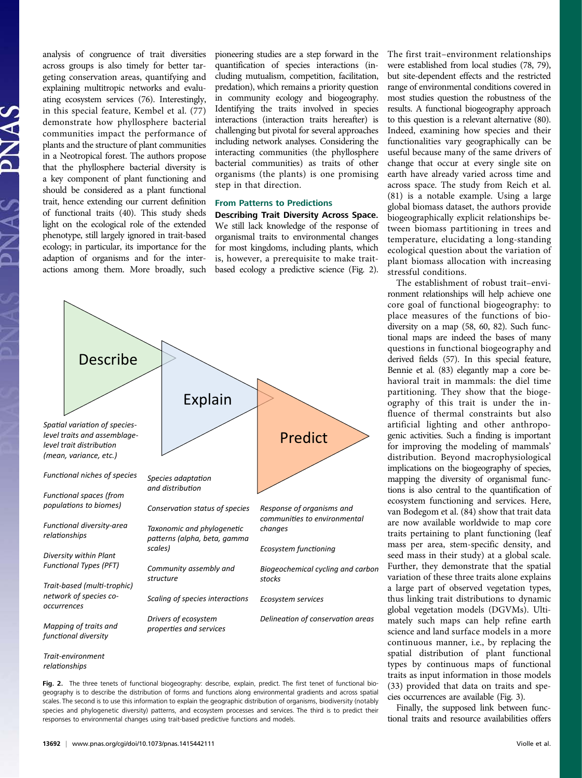analysis of congruence of trait diversities across groups is also timely for better targeting conservation areas, quantifying and explaining multitropic networks and evaluating ecosystem services (76). Interestingly, in this special feature, Kembel et al. (77) demonstrate how phyllosphere bacterial communities impact the performance of plants and the structure of plant communities in a Neotropical forest. The authors propose that the phyllosphere bacterial diversity is a key component of plant functioning and should be considered as a plant functional trait, hence extending our current definition of functional traits (40). This study sheds light on the ecological role of the extended phenotype, still largely ignored in trait-based ecology; in particular, its importance for the adaption of organisms and for the interactions among them. More broadly, such

pioneering studies are a step forward in the quantification of species interactions (including mutualism, competition, facilitation, predation), which remains a priority question in community ecology and biogeography. Identifying the traits involved in species interactions (interaction traits hereafter) is challenging but pivotal for several approaches including network analyses. Considering the interacting communities (the phyllosphere bacterial communities) as traits of other organisms (the plants) is one promising step in that direction.

# From Patterns to Predictions

Describing Trait Diversity Across Space. We still lack knowledge of the response of organismal traits to environmental changes for most kingdoms, including plants, which is, however, a prerequisite to make traitbased ecology a predictive science (Fig. 2).



Fig. 2. The three tenets of functional biogeography: describe, explain, predict. The first tenet of functional biogeography is to describe the distribution of forms and functions along environmental gradients and across spatial scales. The second is to use this information to explain the geographic distribution of organisms, biodiversity (notably species and phylogenetic diversity) patterns, and ecosystem processes and services. The third is to predict their responses to environmental changes using trait-based predictive functions and models.

The first trait–environment relationships were established from local studies (78, 79), but site-dependent effects and the restricted range of environmental conditions covered in most studies question the robustness of the results. A functional biogeography approach to this question is a relevant alternative (80). Indeed, examining how species and their functionalities vary geographically can be useful because many of the same drivers of change that occur at every single site on earth have already varied across time and across space. The study from Reich et al. (81) is a notable example. Using a large global biomass dataset, the authors provide biogeographically explicit relationships between biomass partitioning in trees and temperature, elucidating a long-standing ecological question about the variation of plant biomass allocation with increasing stressful conditions.

The establishment of robust trait–environment relationships will help achieve one core goal of functional biogeography: to place measures of the functions of biodiversity on a map (58, 60, 82). Such functional maps are indeed the bases of many questions in functional biogeography and derived fields (57). In this special feature, Bennie et al. (83) elegantly map a core behavioral trait in mammals: the diel time partitioning. They show that the biogeography of this trait is under the influence of thermal constraints but also artificial lighting and other anthropogenic activities. Such a finding is important for improving the modeling of mammals' distribution. Beyond macrophysiological implications on the biogeography of species, mapping the diversity of organismal functions is also central to the quantification of ecosystem functioning and services. Here, van Bodegom et al. (84) show that trait data are now available worldwide to map core traits pertaining to plant functioning (leaf mass per area, stem-specific density, and seed mass in their study) at a global scale. Further, they demonstrate that the spatial variation of these three traits alone explains a large part of observed vegetation types, thus linking trait distributions to dynamic global vegetation models (DGVMs). Ultimately such maps can help refine earth science and land surface models in a more continuous manner, i.e., by replacing the spatial distribution of plant functional types by continuous maps of functional traits as input information in those models (33) provided that data on traits and species occurrences are available (Fig. 3).

Finally, the supposed link between functional traits and resource availabilities offers

 $relationships$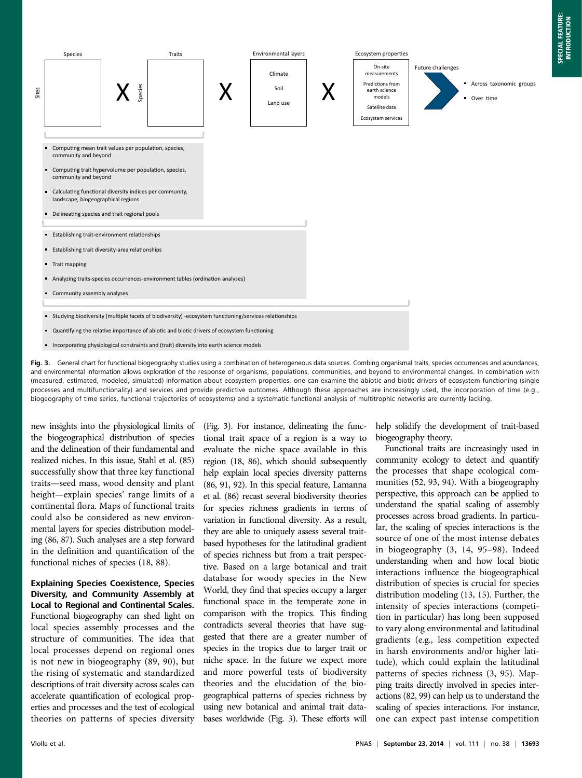

Fig. 3. General chart for functional biogeography studies using a combination of heterogeneous data sources. Combing organismal traits, species occurrences and abundances, and environmental information allows exploration of the response of organisms, populations, communities, and beyond to environmental changes. In combination with (measured, estimated, modeled, simulated) information about ecosystem properties, one can examine the abiotic and biotic drivers of ecosystem functioning (single processes and multifunctionality) and services and provide predictive outcomes. Although these approaches are increasingly used, the incorporation of time (e.g., biogeography of time series, functional trajectories of ecosystems) and a systematic functional analysis of multitrophic networks are currently lacking.

new insights into the physiological limits of the biogeographical distribution of species and the delineation of their fundamental and realized niches. In this issue, Stahl et al. (85) successfully show that three key functional traits—seed mass, wood density and plant height—explain species' range limits of a continental flora. Maps of functional traits could also be considered as new environmental layers for species distribution modeling (86, 87). Such analyses are a step forward in the definition and quantification of the functional niches of species (18, 88).

Explaining Species Coexistence, Species Diversity, and Community Assembly at Local to Regional and Continental Scales. Functional biogeography can shed light on local species assembly processes and the structure of communities. The idea that local processes depend on regional ones is not new in biogeography (89, 90), but the rising of systematic and standardized descriptions of trait diversity across scales can accelerate quantification of ecological properties and processes and the test of ecological theories on patterns of species diversity (Fig. 3). For instance, delineating the functional trait space of a region is a way to evaluate the niche space available in this region (18, 86), which should subsequently help explain local species diversity patterns (86, 91, 92). In this special feature, Lamanna et al. (86) recast several biodiversity theories for species richness gradients in terms of variation in functional diversity. As a result, they are able to uniquely assess several traitbased hypotheses for the latitudinal gradient of species richness but from a trait perspective. Based on a large botanical and trait database for woody species in the New World, they find that species occupy a larger functional space in the temperate zone in comparison with the tropics. This finding contradicts several theories that have suggested that there are a greater number of species in the tropics due to larger trait or niche space. In the future we expect more and more powerful tests of biodiversity theories and the elucidation of the biogeographical patterns of species richness by using new botanical and animal trait databases worldwide (Fig. 3). These efforts will help solidify the development of trait-based biogeography theory.

Functional traits are increasingly used in community ecology to detect and quantify the processes that shape ecological communities (52, 93, 94). With a biogeography perspective, this approach can be applied to understand the spatial scaling of assembly processes across broad gradients. In particular, the scaling of species interactions is the source of one of the most intense debates in biogeography (3, 14, 95–98). Indeed understanding when and how local biotic interactions influence the biogeographical distribution of species is crucial for species distribution modeling (13, 15). Further, the intensity of species interactions (competition in particular) has long been supposed to vary along environmental and latitudinal gradients (e.g., less competition expected in harsh environments and/or higher latitude), which could explain the latitudinal patterns of species richness (3, 95). Mapping traits directly involved in species interactions (82, 99) can help us to understand the scaling of species interactions. For instance, one can expect past intense competition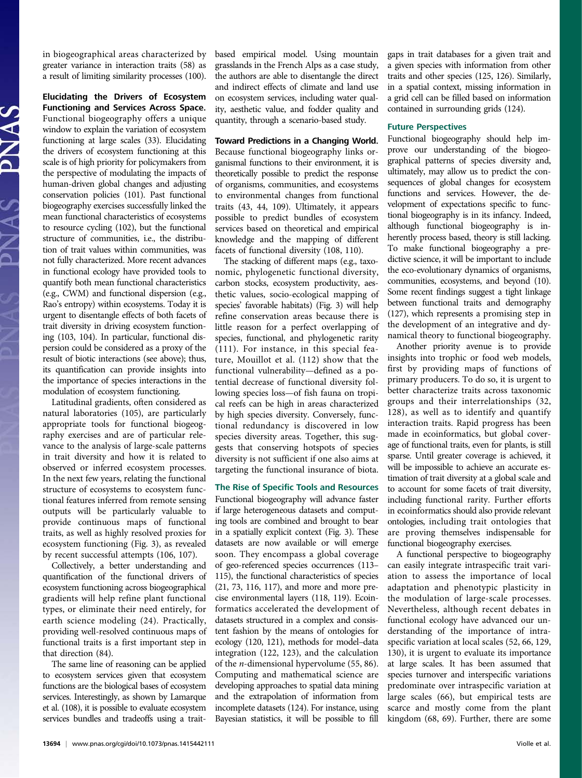in biogeographical areas characterized by greater variance in interaction traits (58) as a result of limiting similarity processes (100).

Elucidating the Drivers of Ecosystem Functioning and Services Across Space. Functional biogeography offers a unique window to explain the variation of ecosystem functioning at large scales (33). Elucidating the drivers of ecosystem functioning at this scale is of high priority for policymakers from the perspective of modulating the impacts of human-driven global changes and adjusting conservation policies (101). Past functional biogeography exercises successfully linked the mean functional characteristics of ecosystems to resource cycling (102), but the functional structure of communities, i.e., the distribution of trait values within communities, was not fully characterized. More recent advances in functional ecology have provided tools to quantify both mean functional characteristics (e.g., CWM) and functional dispersion (e.g., Rao's entropy) within ecosystems. Today it is urgent to disentangle effects of both facets of trait diversity in driving ecosystem functioning (103, 104). In particular, functional dispersion could be considered as a proxy of the result of biotic interactions (see above); thus, its quantification can provide insights into the importance of species interactions in the modulation of ecosystem functioning.

Latitudinal gradients, often considered as natural laboratories (105), are particularly appropriate tools for functional biogeography exercises and are of particular relevance to the analysis of large-scale patterns in trait diversity and how it is related to observed or inferred ecosystem processes. In the next few years, relating the functional structure of ecosystems to ecosystem functional features inferred from remote sensing outputs will be particularly valuable to provide continuous maps of functional traits, as well as highly resolved proxies for ecosystem functioning (Fig. 3), as revealed by recent successful attempts (106, 107).

Collectively, a better understanding and quantification of the functional drivers of ecosystem functioning across biogeographical gradients will help refine plant functional types, or eliminate their need entirely, for earth science modeling (24). Practically, providing well-resolved continuous maps of functional traits is a first important step in that direction (84).

The same line of reasoning can be applied to ecosystem services given that ecosystem functions are the biological bases of ecosystem services. Interestingly, as shown by Lamarque et al. (108), it is possible to evaluate ecosystem services bundles and tradeoffs using a traitbased empirical model. Using mountain grasslands in the French Alps as a case study, the authors are able to disentangle the direct and indirect effects of climate and land use on ecosystem services, including water quality, aesthetic value, and fodder quality and quantity, through a scenario-based study.

## Toward Predictions in a Changing World.

Because functional biogeography links organismal functions to their environment, it is theoretically possible to predict the response of organisms, communities, and ecosystems to environmental changes from functional traits (43, 44, 109). Ultimately, it appears possible to predict bundles of ecosystem services based on theoretical and empirical knowledge and the mapping of different facets of functional diversity (108, 110).

The stacking of different maps (e.g., taxonomic, phylogenetic functional diversity, carbon stocks, ecosystem productivity, aesthetic values, socio-ecological mapping of species' favorable habitats) (Fig. 3) will help refine conservation areas because there is little reason for a perfect overlapping of species, functional, and phylogenetic rarity (111). For instance, in this special feature, Mouillot et al. (112) show that the functional vulnerability—defined as a potential decrease of functional diversity following species loss—of fish fauna on tropical reefs can be high in areas characterized by high species diversity. Conversely, functional redundancy is discovered in low species diversity areas. Together, this suggests that conserving hotspots of species diversity is not sufficient if one also aims at targeting the functional insurance of biota.

### The Rise of Specific Tools and Resources

Functional biogeography will advance faster if large heterogeneous datasets and computing tools are combined and brought to bear in a spatially explicit context (Fig. 3). These datasets are now available or will emerge soon. They encompass a global coverage of geo-referenced species occurrences (113– 115), the functional characteristics of species (21, 73, 116, 117), and more and more precise environmental layers (118, 119). Ecoinformatics accelerated the development of datasets structured in a complex and consistent fashion by the means of ontologies for ecology (120, 121), methods for model–data integration (122, 123), and the calculation of the *n*-dimensional hypervolume  $(55, 86)$ . Computing and mathematical science are developing approaches to spatial data mining and the extrapolation of information from incomplete datasets (124). For instance, using Bayesian statistics, it will be possible to fill gaps in trait databases for a given trait and a given species with information from other traits and other species (125, 126). Similarly, in a spatial context, missing information in a grid cell can be filled based on information contained in surrounding grids (124).

#### Future Perspectives

Functional biogeography should help improve our understanding of the biogeographical patterns of species diversity and, ultimately, may allow us to predict the consequences of global changes for ecosystem functions and services. However, the development of expectations specific to functional biogeography is in its infancy. Indeed, although functional biogeography is inherently process based, theory is still lacking. To make functional biogeography a predictive science, it will be important to include the eco-evolutionary dynamics of organisms, communities, ecosystems, and beyond (10). Some recent findings suggest a tight linkage between functional traits and demography (127), which represents a promising step in the development of an integrative and dynamical theory to functional biogeography.

Another priority avenue is to provide insights into trophic or food web models, first by providing maps of functions of primary producers. To do so, it is urgent to better characterize traits across taxonomic groups and their interrelationships (32, 128), as well as to identify and quantify interaction traits. Rapid progress has been made in ecoinformatics, but global coverage of functional traits, even for plants, is still sparse. Until greater coverage is achieved, it will be impossible to achieve an accurate estimation of trait diversity at a global scale and to account for some facets of trait diversity, including functional rarity. Further efforts in ecoinformatics should also provide relevant ontologies, including trait ontologies that are proving themselves indispensable for functional biogeography exercises.

A functional perspective to biogeography can easily integrate intraspecific trait variation to assess the importance of local adaptation and phenotypic plasticity in the modulation of large-scale processes. Nevertheless, although recent debates in functional ecology have advanced our understanding of the importance of intraspecific variation at local scales (52, 66, 129, 130), it is urgent to evaluate its importance at large scales. It has been assumed that species turnover and interspecific variations predominate over intraspecific variation at large scales (66), but empirical tests are scarce and mostly come from the plant kingdom (68, 69). Further, there are some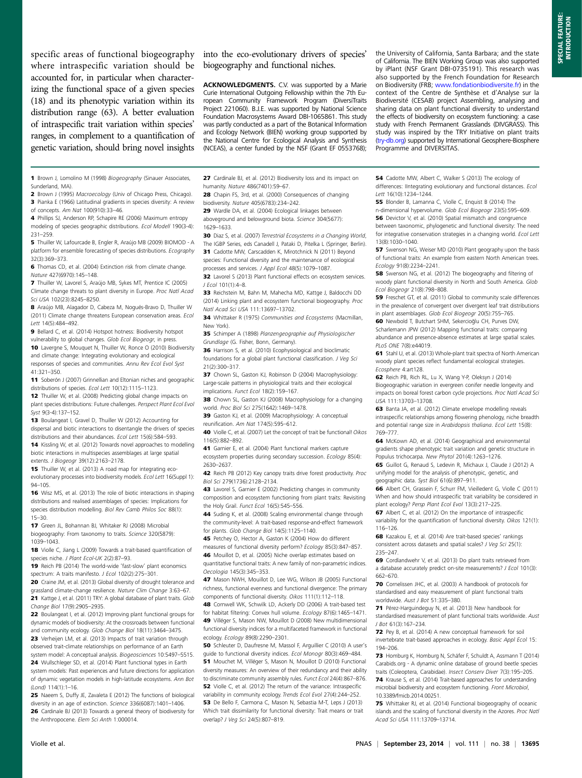specific areas of functional biogeography where intraspecific variation should be accounted for, in particular when characterizing the functional space of a given species (18) and its phenotypic variation within its distribution range (63). A better evaluation of intraspecific trait variation within species' ranges, in complement to a quantification of genetic variation, should bring novel insights

into the eco-evolutionary drivers of species' biogeography and functional niches.

ACKNOWLEDGMENTS. C.V. was supported by a Marie Curie International Outgoing Fellowship within the 7th European Community Framework Program (DiversiTraits Project 221060). B.J.E. was supported by National Science Foundation Macrosystems Award DBI-1065861. This study was partly conducted as a part of the Botanical Information and Ecology Network (BIEN) working group supported by the National Centre for Ecological Analysis and Synthesis (NCEAS), a center funded by the NSF (Grant EF 0553768);

the University of California, Santa Barbara; and the state of California. The BIEN Working Group was also supported by iPlant (NSF Grant DBI-0735191). This research was also supported by the French Foundation for Research on Biodiversity (FRB; [www.fondationbiodiversite.fr](http://www.fondationbiodiversite.fr)) in the context of the Centre de Synthèse et d'Analyse sur la Biodiversité (CESAB) project Assembling, analysing and sharing data on plant functional diversity to understand the effects of biodiversity on ecosystem functioning: a case study with French Permanent Grasslands (DIVGRASS). This study was inspired by the TRY Initiative on plant traits [\(try-db.org](http://try-db.org)) supported by International Geosphere-Biosphere Programme and DIVERSITAS.

1 Brown J, Lomolino M (1998) Biogeography (Sinauer Associates, Sunderland, MA).

2 Brown J (1995) Macroecology (Univ of Chicago Press, Chicago). 3 Pianka E (1966) Latitudinal gradients in species diversity: A review

of concepts. Am Nat 100(910):33–46.

4 Phillips SJ, Anderson RP, Schapire RE (2006) Maximum entropy modeling of species geographic distributions. Ecol Modell 190(3-4): 231–259.

5 Thuiller W, Lafourcade B, Engler R, Araújo MB (2009) BIOMOD - A platform for ensemble forecasting of species distributions. Ecography 32(3):369–373.

6 Thomas CD, et al. (2004) Extinction risk from climate change. Nature 427(6970):145–148.

7 Thuiller W, Lavorel S, Araújo MB, Sykes MT, Prentice IC (2005) Climate change threats to plant diversity in Europe. Proc Natl Acad Sci USA 102(23):8245–8250.

8 Araújo MB, Alagador D, Cabeza M, Nogués-Bravo D, Thuiller W (2011) Climate change threatens European conservation areas. Ecol Lett 14(5):484–492.

9 Bellard C, et al. (2014) Hotspot hotness: Biodiversity hotspot vulnerability to global changes. Glob Ecol Biogeogr, in press. 10 Lavergne S, Mouquet N, Thuiller W, Ronce O (2010) Biodiversity and climate change: Integrating evolutionary and ecological

responses of species and communities. Annu Rev Ecol Evol Syst 41:321–350. 11 Soberón J (2007) Grinnellian and Eltonian niches and geographic

distributions of species. Ecol Lett 10(12):1115–1123.

12 Thuiller W, et al. (2008) Predicting global change impacts on plant species distributions: Future challenges. Perspect Plant Ecol Evol Syst 9(3-4):137–152.

13 Boulangeat I, Gravel D, Thuiller W (2012) Accounting for dispersal and biotic interactions to disentangle the drivers of species distributions and their abundances. Ecol Lett 15(6):584–593.

14 Kissling W, et al. (2012) Towards novel approaches to modelling biotic interactions in multispecies assemblages at large spatial extents. J Biogeogr 39(12):2163–2178.

15 Thuiller W, et al. (2013) A road map for integrating ecoevolutionary processes into biodiversity models. Ecol Lett 16(Suppl 1): 94–105.

16 Wisz MS, et al. (2013) The role of biotic interactions in shaping distributions and realised assemblages of species: Implications for species distribution modelling. Biol Rev Camb Philos Soc 88(1): 15–30.

17 Green JL, Bohannan BJ, Whitaker RJ (2008) Microbial biogeography: From taxonomy to traits. Science 320(5879): 1039–1043.

18 Violle C, Jiang L (2009) Towards a trait-based quantification of species niche. J Plant Ecol-UK 2(2):87-93.

19 Reich PB (2014) The world-wide 'fast-slow' plant economics spectrum: A traits manifesto. J Ecol 102(2):275–301.

20 Craine JM, et al. (2013) Global diversity of drought tolerance and grassland climate-change resilience. Nature Clim Change 3:63–67. 21 Kattge J, et al. (2011) TRY: A global database of plant traits. Glob Change Biol 17(9):2905–2935.

22 Boulangeat I, et al. (2012) Improving plant functional groups for dynamic models of biodiversity: At the crossroads between functional and community ecology. Glob Change Biol 18(11):3464–3475.

23 Verheijen LM, et al. (2013) Impacts of trait variation through observed trait-climate relationships on performance of an Earth system model: A conceptual analysis. Biogeosciences 10:5497–5515. 24 Wullschleger SD, et al. (2014) Plant functional types in Earth

system models: Past experiences and future directions for application of dynamic vegetation models in high-latitude ecosystems. Ann Bot (Lond) 114(1):1–16.

25 Naeem S, Duffy JE, Zavaleta E (2012) The functions of biological diversity in an age of extinction. Science 336(6087):1401–1406. 26 Cardinale BJ (2013) Towards a general theory of biodiversity for the Anthropocene. Elem Sci Anth 1:000014.

27 Cardinale BJ, et al. (2012) Biodiversity loss and its impact on humanity. Nature 486(7401):59–67.

28 Chapin FS, 3rd, et al. (2000) Consequences of changing biodiversity. Nature 405(6783):234–242.

29 Wardle DA, et al. (2004) Ecological linkages between aboveground and belowground biota. Science 304(5677): 1629–1633.

30 Diaz S, et al. (2007) Terrestrial Ecosystems in a Changing World, The IGBP Series, eds Canadell J, Pataki D, Pitelka L (Springer, Berlin).

31 Cadotte MW, Carscadden K, Mirotchnick N (2011) Beyond species: Functional diversity and the maintenance of ecological processes and services. J Appl Ecol 48(5):1079–1087.

32 Lavorel S (2013) Plant functional effects on ecosystem services. J Ecol 101(1):4–8.

33 Reichstein M, Bahn M, Mahecha MD, Kattge J, Baldocchi DD (2014) Linking plant and ecosystem functional biogeography. Proc Natl Acad Sci USA 111:13697–13702.

34 Whittaker R (1975) Communities and Ecosystems (Macmillan, New York).

35 Schimper A (1898) Planzengeographie auf Physiologischer Grundlage (G. Fisher, Bonn, Germany).

36 Harrison S, et al. (2010) Ecophysiological and bioclimatic foundations for a global plant functional classification. J Veg Sci 21(2):300–317.

37 Chown SL, Gaston KJ, Robinson D (2004) Macrophysiology Large-scale patterns in physiological traits and their ecological implications. Funct Ecol 18(2):159–167.

38 Chown SL, Gaston KJ (2008) Macrophysiology for a changing world. Proc Biol Sci 275(1642):1469–1478.

39 Gaston KJ, et al. (2009) Macrophysiology: A conceptual reunification. Am Nat 174(5):595–612.

40 Violle C, et al. (2007) Let the concept of trait be functional! Oikos 116(5):882–892.

41 Garnier E, et al. (2004) Plant functional markers capture ecosystem properties during secondary succession. Ecology 85(4): 2630–2637.

42 Reich PB (2012) Key canopy traits drive forest productivity. Proc Biol Sci 279(1736):2128–2134.

43 Lavorel S, Garnier E (2002) Predicting changes in community composition and ecosystem functioning from plant traits: Revisiting the Holy Grail. Funct Ecol 16(5):545-556.

44 Suding K, et al. (2008) Scaling environmental change through the community-level: A trait-based response-and-effect framework for plants. Glob Change Biol 14(5):1125–1140.

45 Petchey O, Hector A, Gaston K (2004) How do different measures of functional diversity perform? Ecology 85(3):847–857.

46 Mouillot D, et al. (2005) Niche overlap estimates based on quantitative functional traits: A new family of non-parametric indices.

Oecologia 145(3):345–353. 47 Mason NWH, Mouillot D, Lee WG, Wilson JB (2005) Functional

richness, functional evenness and functional divergence: The primary components of functional diversity. Oikos 111(1):112–118. 48 Cornwell WK, Schwilk LD, Ackerly DD (2006) A trait-based test

for habitat filtering: Convex hull volume. Ecology 87(6):1465–1471. 49 Villéger S, Mason NW, Mouillot D (2008) New multidimensional functional diversity indices for a multifaceted framework in functional ecology. Ecology 89(8):2290-2301.

50 Schleuter D, Daufresne M, Massol F, Arguillier C (2010) A user's guide to functional diversity indices. Ecol Monogr 80(3):469–484. 51 Mouchet M, Villéger S, Mason N, Mouillot D (2010) Functional diversity measures: An overview of their redundancy and their ability to discriminate community assembly rules. Funct Ecol 24(4):867–876. 52 Violle C, et al. (2012) The return of the variance: Intraspecific variability in community ecology. Trends Ecol Evol 27(4):244–252. 53 De Bello F, Carmona C, Mason N, Sebastia M-T, Leps J (2013) Which trait dissimilarity for functional diversity: Trait means or trait overlap? J Veg Sci 24(5):807–819.

54 Cadotte MW, Albert C, Walker S (2013) The ecology of differences: IIntegrating evolutionary and functional distances. Ecol Lett 16(10):1234–1244.

55 Blonder B, Lamanna C, Violle C, Enquist B (2014) The n-dimensional hypervolume. Glob Ecol Biogeogr 23(5):595–609. 56 Devictor V, et al. (2010) Spatial mismatch and congruence

between taxonomic, phylogenetic and functional diversity: The need for integrative conservation strategies in a changing world. Ecol Lett 13(8):1030–1040.

57 Swenson NG, Weiser MD (2010) Plant geography upon the basis of functional traits: An example from eastern North American trees. Ecology 91(8):2234–2241.

58 Swenson NG, et al. (2012) The biogeography and filtering of woody plant functional diversity in North and South America. Glob Ecol Biogeogr 21(8):798–808.

59 Freschet GT, et al. (2011) Global to community scale differences in the prevalence of convergent over divergent leaf trait distributions in plant assemblages. Glob Ecol Biogeogr 20(5):755-765.

60 Newbold T, Butchart SHM, Sekercioglu CH, Purves DW, Scharlemann JPW (2012) Mapping functional traits: comparing abundance and presence-absence estimates at large spatial scales. PLoS ONE 7(8):e44019.

61 Stahl U, et al. (2013) Whole-plant trait spectra of North American woody plant species reflect fundamental ecological strategies. Ecosphere 4:art128.

62 Reich PB, Rich RL, Lu X, Wang Y-P, Oleksyn J (2014) Biogeographic variation in evergreen conifer needle longevity and impacts on boreal forest carbon cycle projections. Proc Natl Acad Sci USA 111:13703–13708.

63 Banta JA, et al. (2012) Climate envelope modelling reveals intraspecific relationships among flowering phenology, niche breadth and potential range size in Arabidopsis thaliana. Ecol Lett 15(8): 769–777.

64 McKown AD, et al. (2014) Geographical and environmental gradients shape phenotypic trait variation and genetic structure in Populus trichocarpa. New Phytol 201(4):1263–1276.

65 Guillot G, Renaud S, Ledevin R, Michaux J, Claude J (2012) A unifying model for the analysis of phenotypic, genetic, and geographic data. Syst Biol 61(6):897-911.

66 Albert CH, Grassein F, Schurr FM, Vieilledent G, Violle C (2011) When and how should intraspecific trait variability be considered in plant ecology? Persp Plant Ecol Evol 13(3):217-225.

67 Albert C, et al. (2012) On the importance of intraspecific variability for the quantification of functional diversity. Oikos 121(1): 116–126.

68 Kazakou E, et al. (2014) Are trait-based species' rankings consistent across datasets and spatial scales? J Veg Sci 25(1): 235–247.

69 Cordlandwehr V, et al. (2013) Do plant traits retrieved from a database accurately predict on-site measurements? J Ecol 101(3): 662–670.

70 Cornelissen JHC, et al. (2003) A handbook of protocols for standardised and easy measurement of plant functional traits worldwide. Aust J Bot 51:335–380.

71 Pérez-Harguindeguy N, et al. (2013) New handbook for standardised measurement of plant functional traits worldwide. Aust J Bot 61(3):167–234.

72 Pey B, et al. (2014) A new conceptual framework for soil invertebrate trait-based approaches in ecology. Basic Appl Ecol 15: 194–206.

73 Homburg K, Homburg N, Schäfer F, Schuldt A, Assmann T (2014) Carabids.org - A dynamic online database of ground beetle species traits (Coleoptera, Carabidae). Insect Conserv Diver 7(3):195–205. 74 Krause S, et al. (2014) Trait-based approaches for understanding microbial biodiversity and ecosystem functioning. Front Microbiol, 10.3389/fmicb.2014.00251.

75 Whittaker RJ, et al. (2014) Functional biogeography of oceanic islands and the scaling of functional diversity in the Azores. Proc Natl Acad Sci USA 111:13709–13714.